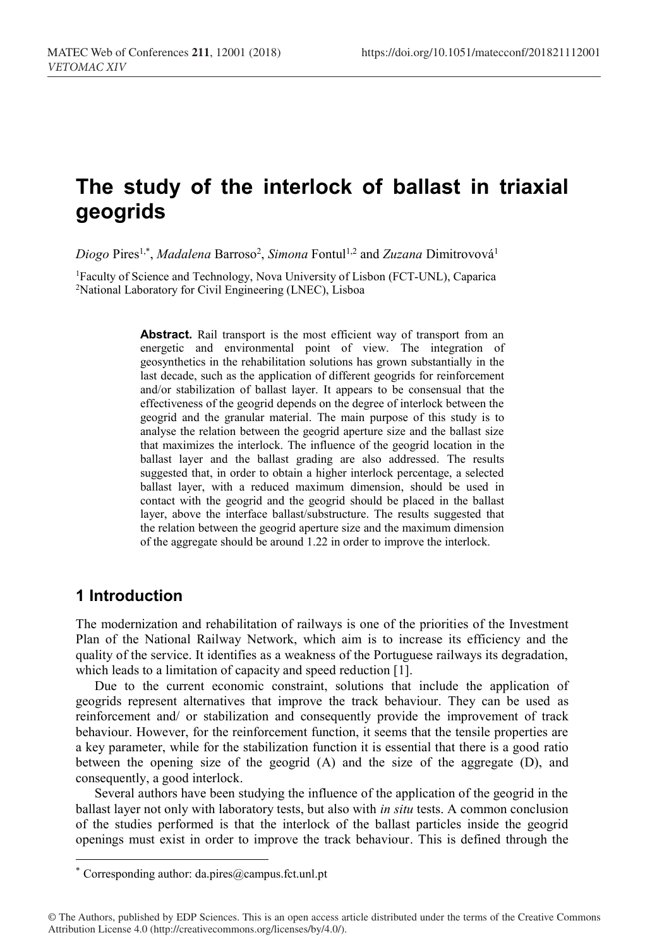# **The study of the interlock of ballast in triaxial geogrids**

*Diogo* Pires1,\* , *Madalena* Barroso2 , *Simona* Fontul1,2 and *Zuzana* Dimitrovová1

1Faculty of Science and Technology, Nova University of Lisbon (FCT-UNL), Caparica 2National Laboratory for Civil Engineering (LNEC), Lisboa

> Abstract. Rail transport is the most efficient way of transport from an energetic and environmental point of view. The integration of geosynthetics in the rehabilitation solutions has grown substantially in the last decade, such as the application of different geogrids for reinforcement and/or stabilization of ballast layer. It appears to be consensual that the effectiveness of the geogrid depends on the degree of interlock between the geogrid and the granular material. The main purpose of this study is to analyse the relation between the geogrid aperture size and the ballast size that maximizes the interlock. The influence of the geogrid location in the ballast layer and the ballast grading are also addressed. The results suggested that, in order to obtain a higher interlock percentage, a selected ballast layer, with a reduced maximum dimension, should be used in contact with the geogrid and the geogrid should be placed in the ballast layer, above the interface ballast/substructure. The results suggested that the relation between the geogrid aperture size and the maximum dimension of the aggregate should be around 1.22 in order to improve the interlock.

### **1 Introduction**

 $\overline{a}$ 

The modernization and rehabilitation of railways is one of the priorities of the Investment Plan of the National Railway Network, which aim is to increase its efficiency and the quality of the service. It identifies as a weakness of the Portuguese railways its degradation, which leads to a limitation of capacity and speed reduction [1].

Due to the current economic constraint, solutions that include the application of geogrids represent alternatives that improve the track behaviour. They can be used as reinforcement and/ or stabilization and consequently provide the improvement of track behaviour. However, for the reinforcement function, it seems that the tensile properties are a key parameter, while for the stabilization function it is essential that there is a good ratio between the opening size of the geogrid (A) and the size of the aggregate (D), and consequently, a good interlock.

Several authors have been studying the influence of the application of the geogrid in the ballast layer not only with laboratory tests, but also with *in situ* tests. A common conclusion of the studies performed is that the interlock of the ballast particles inside the geogrid openings must exist in order to improve the track behaviour. This is defined through the

<sup>\*</sup> Corresponding author: da.pires@campus.fct.unl.pt

<sup>©</sup> The Authors, published by EDP Sciences. This is an open access article distributed under the terms of the Creative Commons Attribution License 4.0 (http://creativecommons.org/licenses/by/4.0/).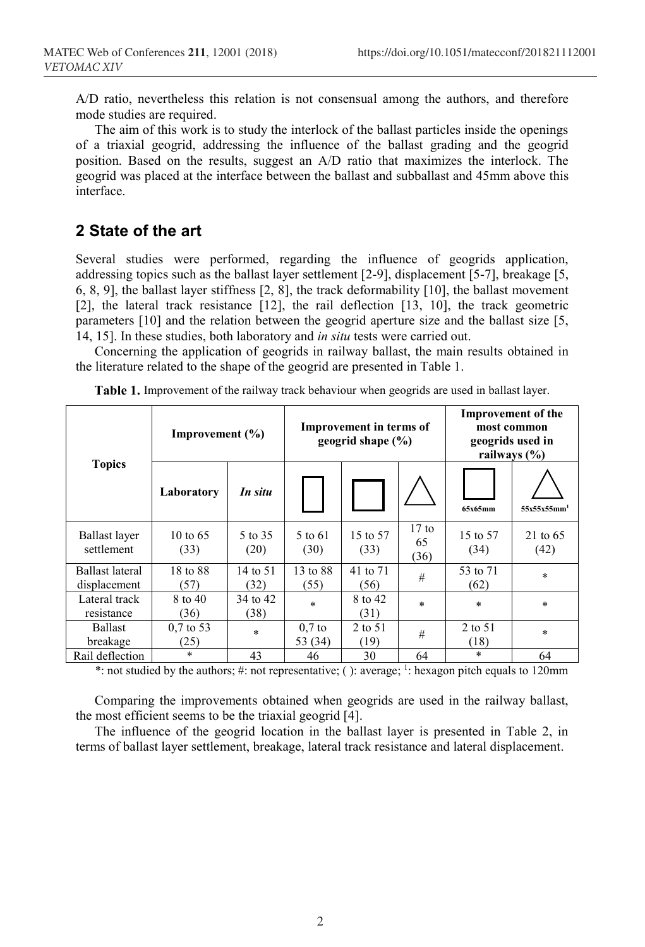A/D ratio, nevertheless this relation is not consensual among the authors, and therefore mode studies are required.

The aim of this work is to study the interlock of the ballast particles inside the openings of a triaxial geogrid, addressing the influence of the ballast grading and the geogrid position. Based on the results, suggest an A/D ratio that maximizes the interlock. The geogrid was placed at the interface between the ballast and subballast and 45mm above this interface.

# **2 State of the art**

Several studies were performed, regarding the influence of geogrids application, addressing topics such as the ballast layer settlement [2-9], displacement [5-7], breakage [5, 6, 8, 9], the ballast layer stiffness [2, 8], the track deformability [10], the ballast movement [2], the lateral track resistance [12], the rail deflection [13, 10], the track geometric parameters [10] and the relation between the geogrid aperture size and the ballast size [5, 14, 15]. In these studies, both laboratory and *in situ* tests were carried out.

Concerning the application of geogrids in railway ballast, the main results obtained in the literature related to the shape of the geogrid are presented in Table 1.

| <b>Topics</b>                   | Improvement $(\% )$          |                  | <b>Improvement in terms of</b><br>geogrid shape $(\% )$ |                  |                       | <b>Improvement of the</b><br>most common<br>geogrids used in<br>railways $(\% )$ |                             |
|---------------------------------|------------------------------|------------------|---------------------------------------------------------|------------------|-----------------------|----------------------------------------------------------------------------------|-----------------------------|
|                                 | Laboratory                   | In situ          |                                                         |                  |                       | 65x65mm                                                                          | $55x55x55mm$ <sup>1</sup>   |
| Ballast layer<br>settlement     | $10 \text{ to } 65$<br>(33)  | 5 to 35<br>(20)  | 5 to 61<br>(30)                                         | 15 to 57<br>(33) | $17$ to<br>65<br>(36) | 15 to 57<br>(34)                                                                 | $21 \text{ to } 65$<br>(42) |
| Ballast lateral<br>displacement | 18 to 88<br>(57)             | 14 to 51<br>(32) | 13 to 88<br>(55)                                        | 41 to 71<br>(56) | #                     | 53 to 71<br>(62)                                                                 | $\ast$                      |
| Lateral track<br>resistance     | 8 to 40<br>(36)              | 34 to 42<br>(38) | $\ast$                                                  | 8 to 42<br>(31)  | $\star$               | $\ast$                                                                           | $\star$                     |
| <b>Ballast</b><br>breakage      | $0.7 \text{ to } 53$<br>(25) | $\star$          | $0.7$ to<br>53 (34)                                     | 2 to 51<br>(19)  | #                     | 2 to 51<br>(18)                                                                  | $\star$                     |
| Rail deflection                 | $\ast$                       | 43               | 46                                                      | 30               | 64                    | $\ast$                                                                           | 64                          |

**Table 1.** Improvement of the railway track behaviour when geogrids are used in ballast layer.

\*: not studied by the authors; #: not representative; ( ): average;  $\frac{1}{1}$ : hexagon pitch equals to 120mm

Comparing the improvements obtained when geogrids are used in the railway ballast, the most efficient seems to be the triaxial geogrid [4].

The influence of the geogrid location in the ballast layer is presented in Table 2, in terms of ballast layer settlement, breakage, lateral track resistance and lateral displacement.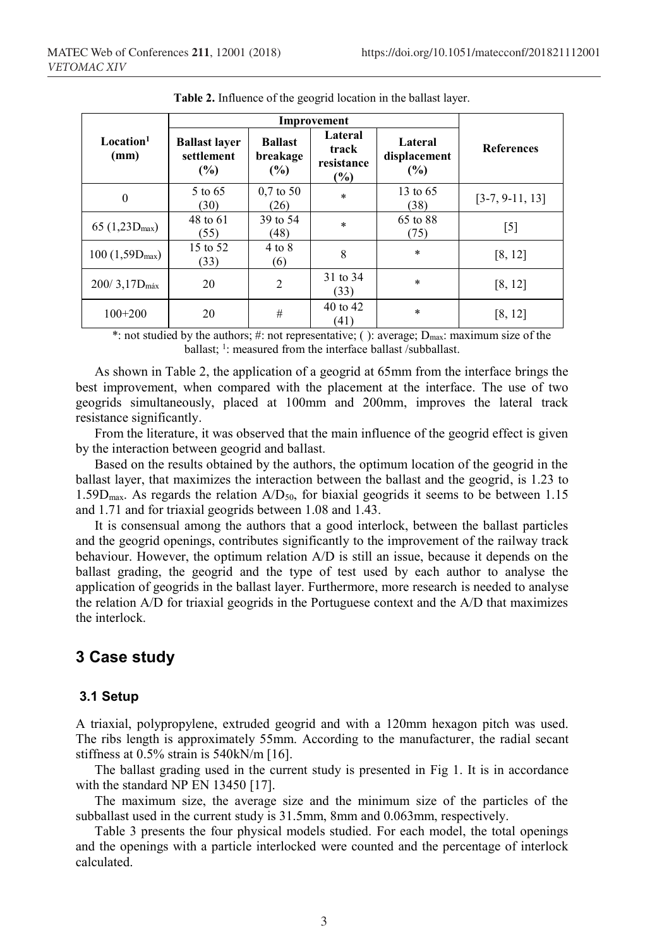| Local <sup>1</sup><br>(mm) | <b>Ballast layer</b><br>settlement<br>(%) | <b>Ballast</b><br>breakage<br>(%) | Lateral<br>track<br>resistance<br>$\frac{1}{2}$ | Lateral<br>displacement<br>(%) | <b>References</b> |
|----------------------------|-------------------------------------------|-----------------------------------|-------------------------------------------------|--------------------------------|-------------------|
| $\mathbf{0}$               | 5 to 65<br>(30)                           | $0.7 \text{ to } 50$<br>(26)      | $\ast$                                          | 13 to $65$<br>(38)             | $[3-7, 9-11, 13]$ |
| $65(1,23D_{max})$          | 48 to 61<br>(55)                          | 39 to 54<br>(48)                  | $\ast$                                          | 65 to 88<br>(75)               | [5]               |
| $100 (1,59D_{max})$        | 15 to 52<br>(33)                          | $4$ to $8$<br>(6)                 | 8                                               | $\ast$                         | [8, 12]           |
| $200/3,17D_{\text{max}}$   | 20                                        | $\overline{2}$                    | 31 to 34<br>(33)                                | $\ast$                         | [8, 12]           |
| $100+200$                  | 20                                        | #                                 | 40 to 42<br>(41)                                | $\ast$                         | [8, 12]           |

**Table 2.** Influence of the geogrid location in the ballast layer.

\*: not studied by the authors; #: not representative; ( ): average; Dmax: maximum size of the ballast; <sup>1</sup>: measured from the interface ballast /subballast.

As shown in Table 2, the application of a geogrid at 65mm from the interface brings the best improvement, when compared with the placement at the interface. The use of two geogrids simultaneously, placed at 100mm and 200mm, improves the lateral track resistance significantly.

From the literature, it was observed that the main influence of the geogrid effect is given by the interaction between geogrid and ballast.

Based on the results obtained by the authors, the optimum location of the geogrid in the ballast layer, that maximizes the interaction between the ballast and the geogrid, is 1.23 to 1.59 $D_{\text{max}}$ . As regards the relation  $A/D_{50}$ , for biaxial geogrids it seems to be between 1.15 and 1.71 and for triaxial geogrids between 1.08 and 1.43.

It is consensual among the authors that a good interlock, between the ballast particles and the geogrid openings, contributes significantly to the improvement of the railway track behaviour. However, the optimum relation A/D is still an issue, because it depends on the ballast grading, the geogrid and the type of test used by each author to analyse the application of geogrids in the ballast layer. Furthermore, more research is needed to analyse the relation A/D for triaxial geogrids in the Portuguese context and the A/D that maximizes the interlock.

# **3 Case study**

#### **3.1 Setup**

A triaxial, polypropylene, extruded geogrid and with a 120mm hexagon pitch was used. The ribs length is approximately 55mm. According to the manufacturer, the radial secant stiffness at 0.5% strain is 540kN/m [16].

The ballast grading used in the current study is presented in Fig 1. It is in accordance with the standard NP EN 13450 [17].

The maximum size, the average size and the minimum size of the particles of the subballast used in the current study is 31.5mm, 8mm and 0.063mm, respectively.

Table 3 presents the four physical models studied. For each model, the total openings and the openings with a particle interlocked were counted and the percentage of interlock calculated.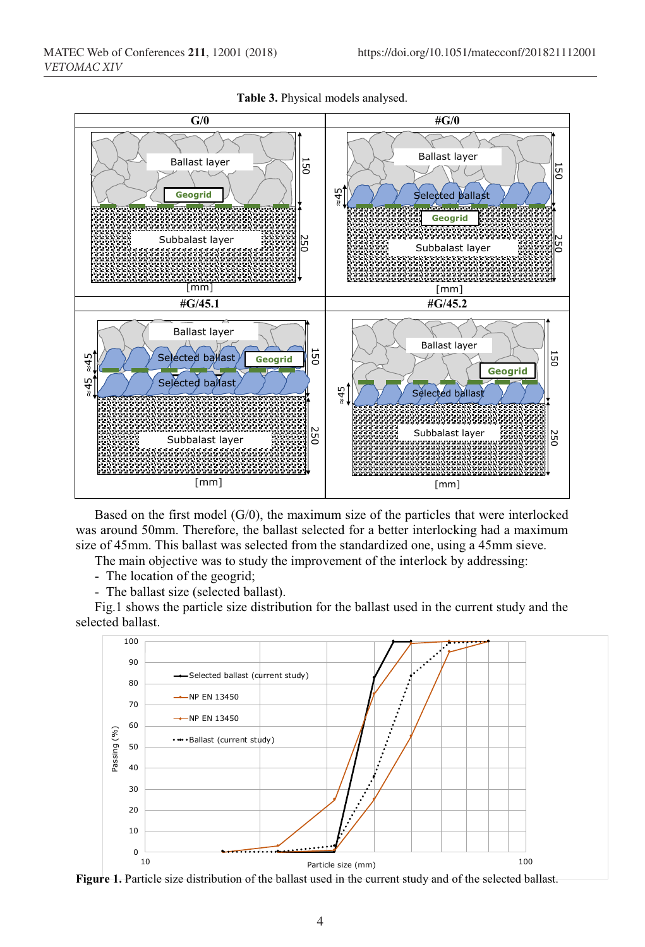

**Table 3.** Physical models analysed.

Based on the first model  $(G/0)$ , the maximum size of the particles that were interlocked was around 50mm. Therefore, the ballast selected for a better interlocking had a maximum size of 45mm. This ballast was selected from the standardized one, using a 45mm sieve.

The main objective was to study the improvement of the interlock by addressing:

- The location of the geogrid;

- The ballast size (selected ballast).

Fig.1 shows the particle size distribution for the ballast used in the current study and the selected ballast.



**Figure 1.** Particle size distribution of the ballast used in the current study and of the selected ballast.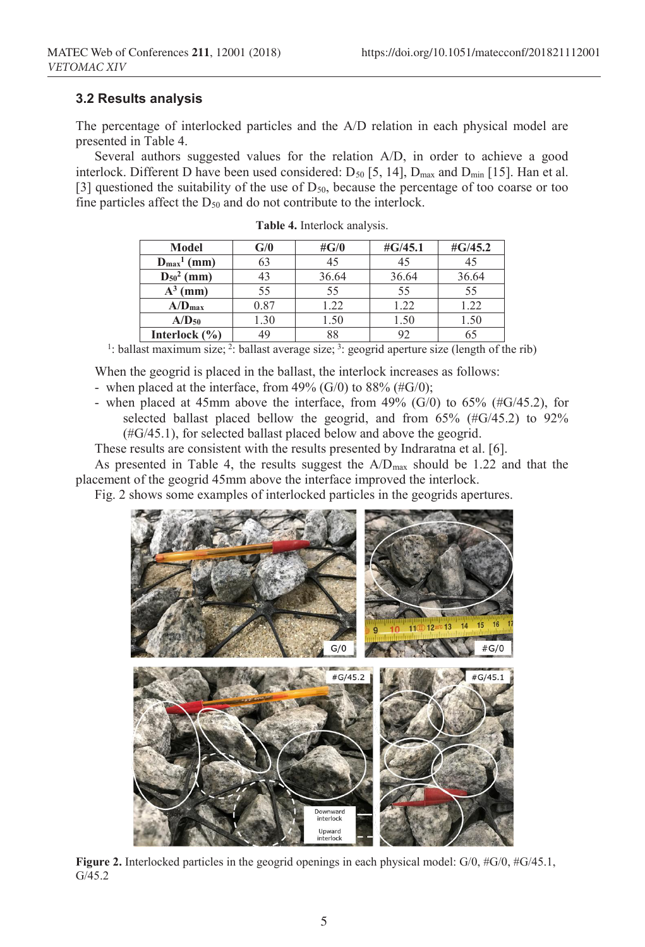### **3.2 Results analysis**

The percentage of interlocked particles and the A/D relation in each physical model are presented in Table 4.

Several authors suggested values for the relation A/D, in order to achieve a good interlock. Different D have been used considered:  $D_{50}$  [5, 14],  $D_{\text{max}}$  and  $D_{\text{min}}$  [15]. Han et al. [3] questioned the suitability of the use of  $D_{50}$ , because the percentage of too coarse or too fine particles affect the  $D_{50}$  and do not contribute to the interlock.

| Model                   | ${\bf G/0}$ | # $G/0$ | $\#G/45.1$ | $\#G/45.2$ |
|-------------------------|-------------|---------|------------|------------|
| $D_{\text{max}}^1$ (mm) | 63          | 45      | 45         |            |
| $D_{50}^2$ (mm)         | 43          | 36.64   | 36.64      | 36.64      |
| $A^3$<br>(mm)           | 55          | 55      | 55         | 55         |
| $A/D_{max}$             | 0.87        | 1.22    | 1.22       | 1.22       |
| $A/D_{50}$              | .30         | 1.50    | 1.50       | 1.50       |
| Interlock $(\% )$       | 49          | 88      | 92         |            |

**Table 4.** Interlock analysis.

<sup>1</sup>: ballast maximum size; <sup>2</sup>: ballast average size; <sup>3</sup>: geogrid aperture size (length of the rib)

When the geogrid is placed in the ballast, the interlock increases as follows:

- when placed at the interface, from 49% (G/0) to  $88\%$  (#G/0);

- when placed at 45mm above the interface, from 49% (G/0) to 65% (#G/45.2), for selected ballast placed bellow the geogrid, and from 65% (#G/45.2) to 92% (#G/45.1), for selected ballast placed below and above the geogrid.

These results are consistent with the results presented by Indraratna et al. [6].

As presented in Table 4, the results suggest the  $A/D_{max}$  should be 1.22 and that the placement of the geogrid 45mm above the interface improved the interlock.

Fig. 2 shows some examples of interlocked particles in the geogrids apertures.



**Figure 2.** Interlocked particles in the geogrid openings in each physical model: G/0, #G/0, #G/45.1, G/45.2